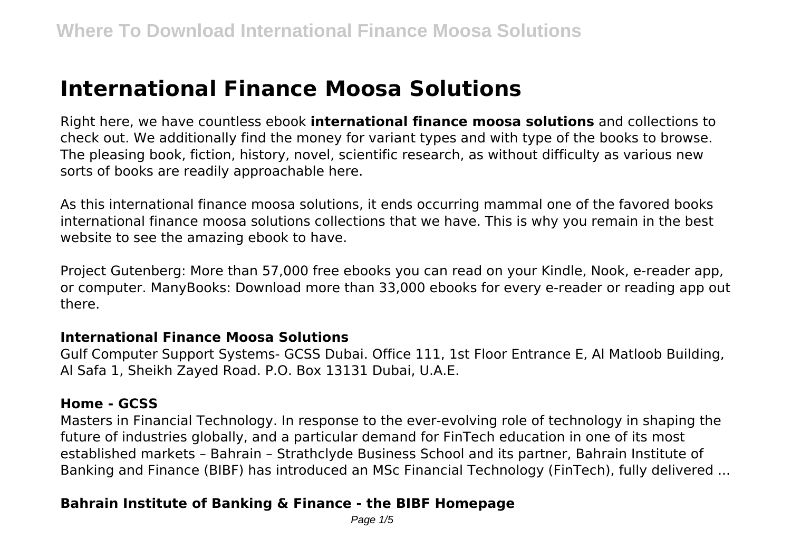# **International Finance Moosa Solutions**

Right here, we have countless ebook **international finance moosa solutions** and collections to check out. We additionally find the money for variant types and with type of the books to browse. The pleasing book, fiction, history, novel, scientific research, as without difficulty as various new sorts of books are readily approachable here.

As this international finance moosa solutions, it ends occurring mammal one of the favored books international finance moosa solutions collections that we have. This is why you remain in the best website to see the amazing ebook to have.

Project Gutenberg: More than 57,000 free ebooks you can read on your Kindle, Nook, e-reader app, or computer. ManyBooks: Download more than 33,000 ebooks for every e-reader or reading app out there.

#### **International Finance Moosa Solutions**

Gulf Computer Support Systems- GCSS Dubai. Office 111, 1st Floor Entrance E, Al Matloob Building, Al Safa 1, Sheikh Zayed Road. P.O. Box 13131 Dubai, U.A.E.

#### **Home - GCSS**

Masters in Financial Technology. In response to the ever-evolving role of technology in shaping the future of industries globally, and a particular demand for FinTech education in one of its most established markets – Bahrain – Strathclyde Business School and its partner, Bahrain Institute of Banking and Finance (BIBF) has introduced an MSc Financial Technology (FinTech), fully delivered ...

# **Bahrain Institute of Banking & Finance - the BIBF Homepage**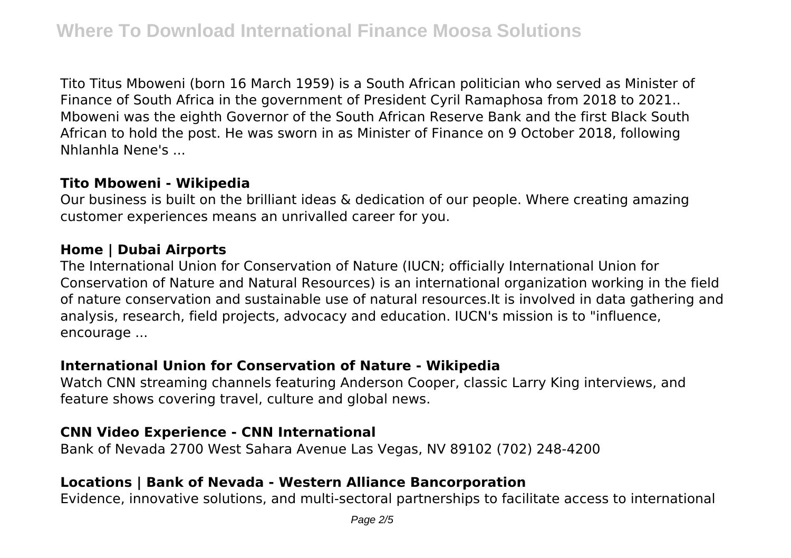Tito Titus Mboweni (born 16 March 1959) is a South African politician who served as Minister of Finance of South Africa in the government of President Cyril Ramaphosa from 2018 to 2021.. Mboweni was the eighth Governor of the South African Reserve Bank and the first Black South African to hold the post. He was sworn in as Minister of Finance on 9 October 2018, following Nhlanhla Nene's ...

#### **Tito Mboweni - Wikipedia**

Our business is built on the brilliant ideas & dedication of our people. Where creating amazing customer experiences means an unrivalled career for you.

## **Home | Dubai Airports**

The International Union for Conservation of Nature (IUCN; officially International Union for Conservation of Nature and Natural Resources) is an international organization working in the field of nature conservation and sustainable use of natural resources.It is involved in data gathering and analysis, research, field projects, advocacy and education. IUCN's mission is to "influence, encourage ...

# **International Union for Conservation of Nature - Wikipedia**

Watch CNN streaming channels featuring Anderson Cooper, classic Larry King interviews, and feature shows covering travel, culture and global news.

# **CNN Video Experience - CNN International**

Bank of Nevada 2700 West Sahara Avenue Las Vegas, NV 89102 (702) 248-4200

# **Locations | Bank of Nevada - Western Alliance Bancorporation**

Evidence, innovative solutions, and multi-sectoral partnerships to facilitate access to international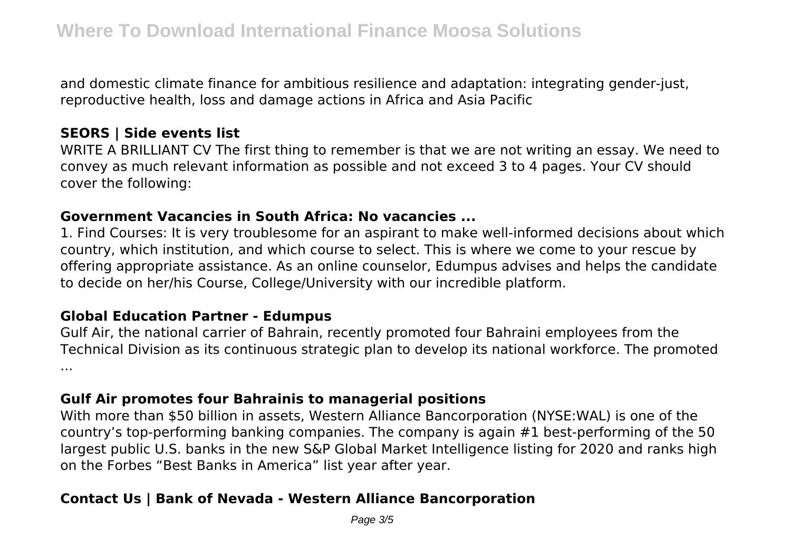and domestic climate finance for ambitious resilience and adaptation: integrating gender-just, reproductive health, loss and damage actions in Africa and Asia Pacific

## **SEORS | Side events list**

WRITE A BRILLIANT CV The first thing to remember is that we are not writing an essay. We need to convey as much relevant information as possible and not exceed 3 to 4 pages. Your CV should cover the following:

#### **Government Vacancies in South Africa: No vacancies ...**

1. Find Courses: It is very troublesome for an aspirant to make well-informed decisions about which country, which institution, and which course to select. This is where we come to your rescue by offering appropriate assistance. As an online counselor, Edumpus advises and helps the candidate to decide on her/his Course, College/University with our incredible platform.

#### **Global Education Partner - Edumpus**

Gulf Air, the national carrier of Bahrain, recently promoted four Bahraini employees from the Technical Division as its continuous strategic plan to develop its national workforce. The promoted ...

## **Gulf Air promotes four Bahrainis to managerial positions**

With more than \$50 billion in assets, Western Alliance Bancorporation (NYSE:WAL) is one of the country's top-performing banking companies. The company is again #1 best-performing of the 50 largest public U.S. banks in the new S&P Global Market Intelligence listing for 2020 and ranks high on the Forbes "Best Banks in America" list year after year.

# **Contact Us | Bank of Nevada - Western Alliance Bancorporation**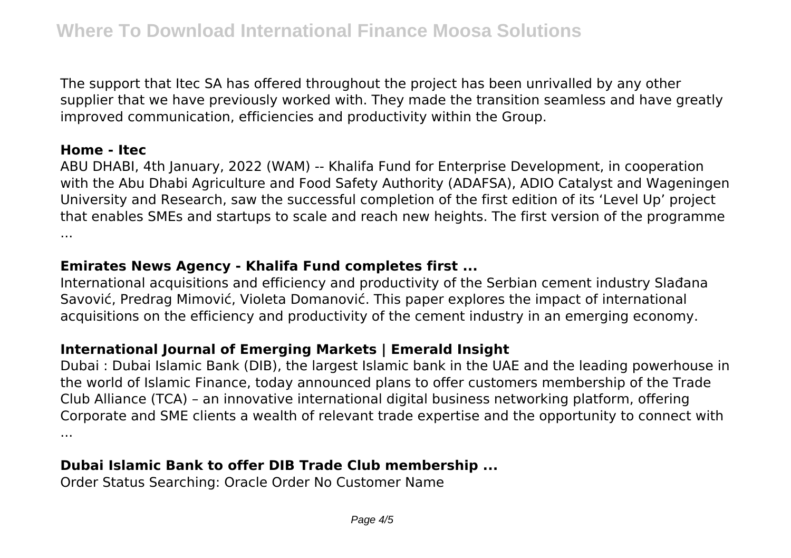The support that Itec SA has offered throughout the project has been unrivalled by any other supplier that we have previously worked with. They made the transition seamless and have greatly improved communication, efficiencies and productivity within the Group.

### **Home - Itec**

ABU DHABI, 4th January, 2022 (WAM) -- Khalifa Fund for Enterprise Development, in cooperation with the Abu Dhabi Agriculture and Food Safety Authority (ADAFSA), ADIO Catalyst and Wageningen University and Research, saw the successful completion of the first edition of its 'Level Up' project that enables SMEs and startups to scale and reach new heights. The first version of the programme ...

# **Emirates News Agency - Khalifa Fund completes first ...**

International acquisitions and efficiency and productivity of the Serbian cement industry Slađana Savović, Predrag Mimović, Violeta Domanović. This paper explores the impact of international acquisitions on the efficiency and productivity of the cement industry in an emerging economy.

# **International Journal of Emerging Markets | Emerald Insight**

Dubai : Dubai Islamic Bank (DIB), the largest Islamic bank in the UAE and the leading powerhouse in the world of Islamic Finance, today announced plans to offer customers membership of the Trade Club Alliance (TCA) – an innovative international digital business networking platform, offering Corporate and SME clients a wealth of relevant trade expertise and the opportunity to connect with ...

# **Dubai Islamic Bank to offer DIB Trade Club membership ...**

Order Status Searching: Oracle Order No Customer Name